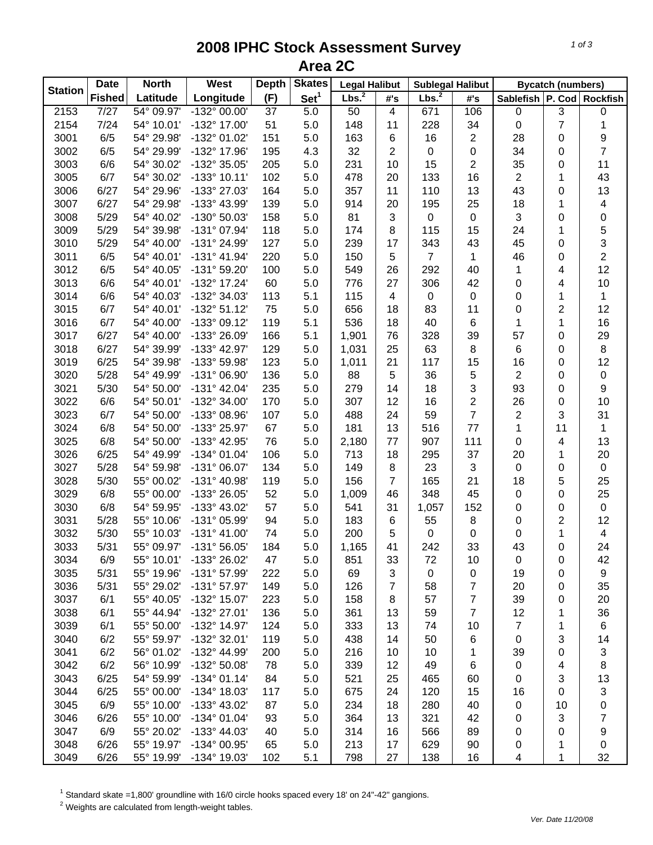## **2008 IPHC Stock Assessment Survey Area 2C**

|                | <b>Date</b>   | <b>North</b> | <b>West</b>           | <b>Depth</b>    | <b>Skates</b>    | <b>Legal Halibut</b> |                | <b>Sublegal Halibut</b> |                         |                    | <b>Bycatch (numbers)</b> |                         |
|----------------|---------------|--------------|-----------------------|-----------------|------------------|----------------------|----------------|-------------------------|-------------------------|--------------------|--------------------------|-------------------------|
| <b>Station</b> | <b>Fished</b> | Latitude     | Longitude             | (F)             | Set <sup>1</sup> | Lbs. <sup>2</sup>    | #'s            | Lbs. <sup>2</sup>       | #'s                     | Sablefish   P. Cod |                          | <b>Rockfish</b>         |
| 2153           | 7/27          | 54° 09.97'   | $-132^{\circ}$ 00.00' | $\overline{37}$ | 5.0              | $\overline{50}$      | 4              | 671                     | 106                     | $\pmb{0}$          | 3                        | $\pmb{0}$               |
| 2154           | 7/24          | 54° 10.01'   | -132° 17.00'          | 51              | 5.0              | 148                  | 11             | 228                     | 34                      | 0                  | 7                        | $\mathbf{1}$            |
| 3001           | 6/5           | 54° 29.98'   | -132° 01.02'          | 151             | 5.0              | 163                  | 6              | 16                      | 2                       | 28                 | 0                        | 9                       |
| 3002           | 6/5           | 54° 29.99'   | -132° 17.96'          | 195             | 4.3              | 32                   | $\overline{2}$ | $\pmb{0}$               | $\mathsf 0$             | 34                 | 0                        | $\overline{7}$          |
| 3003           | 6/6           | 54° 30.02'   | -132° 35.05'          | 205             | 5.0              | 231                  | 10             | 15                      | $\overline{c}$          | 35                 | 0                        | 11                      |
| 3005           | 6/7           | 54° 30.02'   | $-133^{\circ}$ 10.11' | 102             | 5.0              | 478                  | 20             | 133                     | 16                      | $\overline{2}$     | 1                        | 43                      |
| 3006           | 6/27          | 54° 29.96'   | -133° 27.03'          | 164             | 5.0              | 357                  | 11             | 110                     | 13                      | 43                 | 0                        | 13                      |
| 3007           | 6/27          | 54° 29.98'   | -133° 43.99'          | 139             | 5.0              | 914                  | 20             | 195                     | 25                      | 18                 | 1                        | $\overline{\mathbf{4}}$ |
| 3008           | 5/29          | 54° 40.02'   | -130° 50.03'          | 158             | 5.0              | 81                   | 3              | $\mathbf 0$             | $\pmb{0}$               | 3                  | 0                        | 0                       |
| 3009           | 5/29          | 54° 39.98'   | -131° 07.94'          | 118             | 5.0              | 174                  | 8              | 115                     | 15                      | 24                 | 1                        |                         |
| 3010           | 5/29          | 54° 40.00'   | -131° 24.99'          | 127             | 5.0              | 239                  | 17             | 343                     | 43                      | 45                 | 0                        | $\frac{5}{3}$           |
| 3011           | 6/5           | 54° 40.01'   | $-131^{\circ}$ 41.94' | 220             | 5.0              | 150                  | 5              | $\overline{7}$          | 1                       | 46                 | 0                        | $\overline{2}$          |
| 3012           | 6/5           | 54° 40.05'   | -131° 59.20'          | 100             | 5.0              | 549                  | 26             | 292                     | 40                      | 1                  | 4                        | 12                      |
| 3013           | 6/6           | 54° 40.01'   | -132° 17.24'          | 60              | 5.0              | 776                  | 27             | 306                     | 42                      | 0                  | 4                        | 10                      |
| 3014           | 6/6           | 54° 40.03'   | -132° 34.03'          | 113             | 5.1              | 115                  | 4              | $\pmb{0}$               | $\pmb{0}$               | 0                  | 1                        | 1                       |
| 3015           | 6/7           | 54° 40.01'   | $-132^{\circ} 51.12'$ | 75              | 5.0              | 656                  | 18             | 83                      | 11                      | 0                  | $\overline{2}$           | 12                      |
| 3016           | 6/7           | 54° 40.00'   | -133° 09.12'          | 119             | 5.1              | 536                  | 18             | 40                      | 6                       | 1                  | 1                        | 16                      |
| 3017           | 6/27          | 54° 40.00'   | -133° 26.09'          | 166             | 5.1              | 1,901                | 76             | 328                     | 39                      | 57                 | 0                        | 29                      |
| 3018           | 6/27          | 54° 39.99'   | -133° 42.97'          | 129             | 5.0              | 1,031                | 25             | 63                      | 8                       | 6                  | 0                        | $\,8\,$                 |
| 3019           | 6/25          | 54° 39.98'   | -133° 59.98'          | 123             | 5.0              | 1,011                | 21             | 117                     | 15                      | 16                 | 0                        | 12                      |
| 3020           | 5/28          | 54° 49.99'   | -131° 06.90'          | 136             | 5.0              | 88                   | $\overline{5}$ | 36                      | 5                       | $\overline{2}$     | 0                        | $\pmb{0}$               |
| 3021           | 5/30          | 54° 50.00'   | $-131^{\circ}$ 42.04' | 235             | 5.0              | 279                  | 14             | 18                      | 3                       | 93                 | 0                        | $\boldsymbol{9}$        |
| 3022           | 6/6           | 54° 50.01'   | -132° 34.00'          | 170             | 5.0              | 307                  | 12             | 16                      | $\overline{\mathbf{c}}$ | 26                 | 0                        | 10                      |
| 3023           | 6/7           | 54° 50.00'   | -133° 08.96'          | 107             | 5.0              | 488                  | 24             | 59                      | $\overline{7}$          | $\overline{c}$     | 3                        | 31                      |
| 3024           | 6/8           | 54° 50.00'   | -133° 25.97'          | 67              | 5.0              | 181                  | 13             | 516                     | 77                      | $\mathbf{1}$       | 11                       | $\mathbf{1}$            |
| 3025           | 6/8           | 54° 50.00'   | -133° 42.95'          | 76              | 5.0              | 2,180                | 77             | 907                     | 111                     | 0                  | 4                        | 13                      |
| 3026           | 6/25          | 54° 49.99'   | -134° 01.04'          | 106             | 5.0              | 713                  | 18             | 295                     | 37                      | 20                 | 1                        | 20                      |
| 3027           | 5/28          | 54° 59.98'   | $-131^{\circ}$ 06.07' | 134             | 5.0              | 149                  | 8              | 23                      | 3                       | 0                  | 0                        | $\pmb{0}$               |
| 3028           | 5/30          | 55° 00.02'   | -131° 40.98'          | 119             | 5.0              | 156                  | $\overline{7}$ | 165                     | 21                      | 18                 | 5                        | 25                      |
| 3029           | 6/8           | 55° 00.00'   | -133° 26.05'          | 52              | 5.0              | 1,009                | 46             | 348                     | 45                      | 0                  | 0                        | 25                      |
| 3030           | 6/8           | 54° 59.95'   | -133° 43.02'          | 57              | 5.0              | 541                  | 31             | 1,057                   | 152                     | 0                  | 0                        | $\pmb{0}$               |
| 3031           | 5/28          | 55° 10.06'   | -131° 05.99'          | 94              | 5.0              | 183                  | 6              | 55                      | 8                       | 0                  | $\overline{2}$           | 12                      |
| 3032           | 5/30          | 55° 10.03'   | $-131^{\circ}$ 41.00' | 74              | 5.0              | 200                  | 5              | $\mathbf 0$             | 0                       | 0                  | 1                        | 4                       |
| 3033           | 5/31          | 55° 09.97'   | $-131^{\circ} 56.05'$ | 184             | 5.0              | 1,165                | 41             | 242                     | 33                      | 43                 | 0                        | 24                      |
| 3034           | 6/9           | 55° 10.01'   | -133° 26.02'          | 47              | 5.0              | 851                  | 33             | 72                      | 10                      | 0                  | 0                        | 42                      |
| 3035           | 5/31          | 55° 19.96'   | -131° 57.99'          | 222             | 5.0              | 69                   | 3              | $\pmb{0}$               | 0                       | 19                 | 0                        | 9                       |
| 3036           | 5/31          | 55° 29.02'   | -131° 57.97'          | 149             | 5.0              | 126                  | 7              | 58                      | 7                       | 20                 | 0                        | 35                      |
| 3037           | 6/1           | 55° 40.05'   | -132° 15.07'          | 223             | 5.0              | 158                  | 8              | 57                      | $\overline{7}$          | 39                 | 0                        | 20                      |
| 3038           | 6/1           | 55° 44.94'   | -132° 27.01'          | 136             | 5.0              | 361                  | 13             | 59                      | $\overline{7}$          | 12                 | 1                        | 36                      |
| 3039           | 6/1           | 55° 50.00'   | -132° 14.97'          | 124             | 5.0              | 333                  | 13             | 74                      | 10                      | $\overline{7}$     | 1                        | 6                       |
| 3040           | 6/2           | 55° 59.97'   | -132° 32.01'          | 119             | 5.0              | 438                  | 14             | 50                      | 6                       | 0                  | 3                        | 14                      |
| 3041           | 6/2           | 56° 01.02'   | -132° 44.99'          | 200             | 5.0              | 216                  | 10             | 10                      | 1                       | 39                 | 0                        | 3                       |
| 3042           | 6/2           | 56° 10.99'   | -132° 50.08'          | 78              | 5.0              | 339                  | 12             | 49                      | 6                       | 0                  | 4                        | 8                       |
| 3043           | 6/25          | 54° 59.99'   | $-134^{\circ}$ 01.14' | 84              | 5.0              | 521                  | 25             | 465                     | 60                      | 0                  | 3                        | 13                      |
| 3044           | 6/25          | 55° 00.00'   | $-134^{\circ}$ 18.03' | 117             | 5.0              | 675                  | 24             | 120                     | 15                      | 16                 | 0                        | 3                       |
| 3045           | 6/9           | 55° 10.00'   | -133° 43.02'          | 87              | 5.0              | 234                  | 18             | 280                     | 40                      | 0                  | 10                       | 0                       |
| 3046           | 6/26          | 55° 10.00'   | $-134^{\circ}$ 01.04' | 93              | 5.0              | 364                  | 13             | 321                     | 42                      | 0                  | 3                        | 7                       |
| 3047           | 6/9           | 55° 20.02'   | $-133^{\circ}$ 44.03' | 40              | 5.0              | 314                  | 16             | 566                     | 89                      | 0                  | 0                        | 9                       |
| 3048           | 6/26          | 55° 19.97'   | -134° 00.95'          | 65              | 5.0              | 213                  | 17             | 629                     | 90                      | 0                  | 1                        | 0                       |
| 3049           | 6/26          | 55° 19.99'   | -134° 19.03'          | 102             | 5.1              | 798                  | 27             | 138                     | 16                      | 4                  | 1                        | 32                      |

 $^1$  Standard skate =1,800' groundline with 16/0 circle hooks spaced every 18' on 24"-42" gangions.<br><sup>2</sup> Weights are calculated from length-weight tables.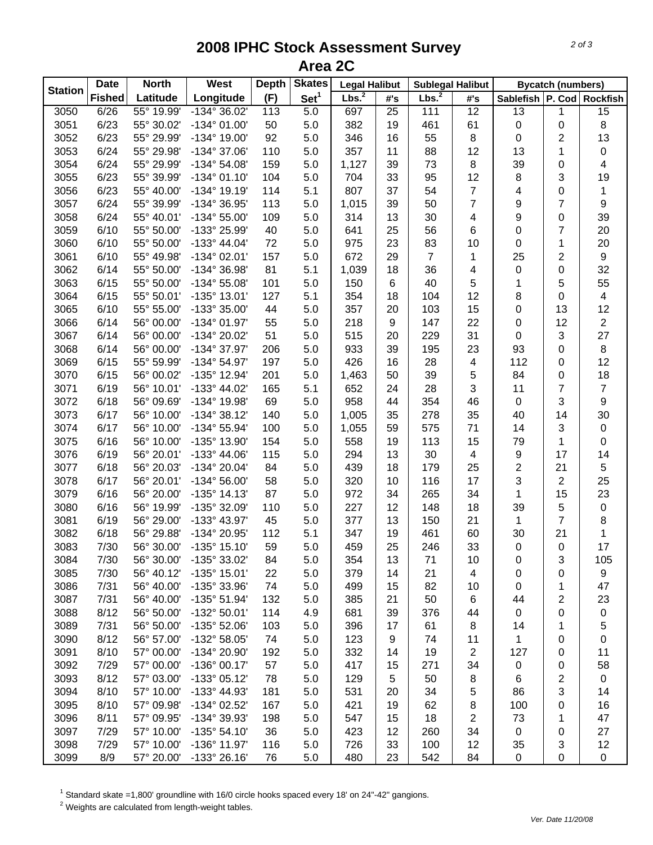## **2008 IPHC Stock Assessment Survey Area 2C**

| Set <sup>1</sup><br>Lbs. <sup>2</sup><br>Lbs. <sup>2</sup><br>Longitude<br><b>Fished</b><br>Latitude<br>(F)<br>Sablefish   P. Cod   Rockfish<br>#'s<br>#'s<br>25<br>12<br>6/26<br>55° 19.99'<br>$-134^{\circ}36.02'$<br>113<br>5.0<br>697<br>111<br>$\overline{13}$<br>$\overline{15}$<br>3050<br>1<br>6/23<br>61<br>8<br>3051<br>55° 30.02'<br>$-134^{\circ}$ 01.00'<br>50<br>5.0<br>382<br>19<br>461<br>0<br>$\mathbf 0$<br>13<br>3052<br>6/23<br>92<br>55<br>$\,8\,$<br>$\overline{c}$<br>55° 29.99'<br>-134° 19.00'<br>5.0<br>346<br>16<br>$\boldsymbol{0}$<br>6/24<br>12<br>13<br>0<br>3053<br>55° 29.98'<br>-134° 37.06'<br>110<br>5.0<br>357<br>11<br>88<br>1<br>6/24<br>$\,8\,$<br>39<br>4<br>3054<br>55° 29.99'<br>$-134^{\circ} 54.08'$<br>159<br>5.0<br>1,127<br>39<br>73<br>0<br>6/23<br>104<br>33<br>95<br>12<br>8<br>3<br>19<br>3055<br>55° 39.99'<br>$-134^{\circ}$ 01.10'<br>5.0<br>704<br>$\overline{7}$<br>6/23<br>5.1<br>807<br>37<br>54<br>4<br>$\pmb{0}$<br>$\mathbf{1}$<br>3056<br>55° 40.00'<br>$-134^{\circ}$ 19.19'<br>114<br>$\overline{7}$<br>$\boldsymbol{9}$<br>$\overline{7}$<br>9<br>6/24<br>113<br>5.0<br>50<br>3057<br>55° 39.99'<br>-134° 36.95'<br>1,015<br>39<br>$\boldsymbol{9}$<br>39<br>6/24<br>5.0<br>4<br>3058<br>55° 40.01'<br>$-134^{\circ} 55.00'$<br>109<br>314<br>13<br>30<br>0<br>6/10<br>25<br>56<br>6<br>$\mathbf 0$<br>7<br>20<br>3059<br>55° 50.00'<br>-133° 25.99'<br>40<br>5.0<br>641<br>6/10<br>23<br>83<br>10<br>20<br>3060<br>55° 50.00'<br>$-133^{\circ}$ 44.04'<br>72<br>5.0<br>975<br>1<br>0<br>157<br>25<br>2<br>$\boldsymbol{9}$<br>3061<br>6/10<br>-134° 02.01'<br>5.0<br>672<br>29<br>$\overline{7}$<br>55° 49.98'<br>1<br>32<br>81<br>36<br>4<br>3062<br>6/14<br>55° 50.00'<br>-134° 36.98'<br>5.1<br>1,039<br>18<br>$\boldsymbol{0}$<br>0<br>5<br>55<br>3063<br>6/15<br>55° 50.00'<br>$-134^{\circ} 55.08'$<br>101<br>5.0<br>150<br>6<br>40<br>1<br>5<br>127<br>12<br>8<br>3064<br>6/15<br>55° 50.01'<br>$-135^{\circ}$ 13.01'<br>5.1<br>354<br>18<br>104<br>0<br>$\overline{\mathcal{A}}$<br>12<br>3065<br>6/10<br>55° 55.00'<br>-133° 35.00'<br>44<br>5.0<br>357<br>20<br>103<br>15<br>0<br>13<br>55<br>12<br>$\overline{2}$<br>3066<br>6/14<br>56° 00.00'<br>$-134^{\circ}$ 01.97'<br>5.0<br>218<br>9<br>147<br>22<br>0<br>6/14<br>51<br>31<br>3<br>27<br>3067<br>56° 00.00'<br>-134° 20.02'<br>5.0<br>515<br>20<br>229<br>0<br>6/14<br>206<br>23<br>93<br>8<br>3068<br>56° 00.00'<br>-134° 37.97'<br>5.0<br>933<br>39<br>195<br>0<br>12<br>6/15<br>4<br>3069<br>55° 59.99'<br>$-134^{\circ} 54.97'$<br>197<br>5.0<br>426<br>16<br>28<br>112<br>0<br>5<br>18<br>6/15<br>0<br>3070<br>56° 00.02'<br>-135° 12.94'<br>201<br>5.0<br>50<br>39<br>84<br>1,463<br>3<br>$\overline{7}$<br>6/19<br>5.1<br>28<br>11<br>$\boldsymbol{7}$<br>3071<br>56° 10.01'<br>$-133^{\circ}$ 44.02'<br>165<br>652<br>24<br>9<br>6/18<br>69<br>354<br>46<br>3<br>3072<br>56° 09.69'<br>-134° 19.98'<br>5.0<br>958<br>44<br>$\mathbf 0$<br>30<br>6/17<br>140<br>278<br>35<br>40<br>3073<br>56° 10.00'<br>$-134^{\circ}38.12'$<br>5.0<br>1,005<br>35<br>14<br>6/17<br>5.0<br>71<br>3<br>$\pmb{0}$<br>3074<br>56° 10.00'<br>$-134^{\circ} 55.94'$<br>100<br>1,055<br>59<br>575<br>14<br>6/16<br>5.0<br>15<br>0<br>3075<br>56° 10.00'<br>-135° 13.90'<br>154<br>558<br>19<br>113<br>79<br>1<br>6/19<br>$\boldsymbol{9}$<br>17<br>14<br>3076<br>56° 20.01'<br>-133° 44.06'<br>115<br>5.0<br>294<br>13<br>30<br>$\overline{\mathbf{4}}$<br>$\overline{c}$<br>6/18<br>25<br>21<br>5<br>3077<br>56° 20.03'<br>-134° 20.04'<br>84<br>5.0<br>439<br>18<br>179<br>3<br>25<br>17<br>$\overline{2}$<br>3078<br>6/17<br>56° 20.01'<br>58<br>5.0<br>10<br>116<br>$-134^{\circ} 56.00'$<br>320<br>23<br>34<br>3079<br>6/16<br>56° 20.00'<br>$-135°$ 14.13'<br>87<br>5.0<br>972<br>34<br>265<br>1<br>15<br>39<br>3080<br>6/16<br>56° 19.99'<br>-135° 32.09'<br>110<br>5.0<br>227<br>12<br>148<br>18<br>5<br>$\pmb{0}$<br>$\overline{7}$<br>8<br>3081<br>6/19<br>56° 29.00'<br>-133° 43.97'<br>45<br>5.0<br>377<br>13<br>150<br>21<br>1<br>3082<br>6/18<br>56° 29.88'<br>-134° 20.95'<br>112<br>5.1<br>19<br>461<br>30<br>21<br>1<br>347<br>60<br>3083<br>59<br>5.0<br>25<br>33<br>17<br>7/30<br>56° 30.00'<br>$-135°$ 15.10'<br>459<br>246<br>$\boldsymbol{0}$<br>$\mathbf 0$<br>7/30<br>3<br>56° 30.00'<br>-135° 33.02'<br>5.0<br>13<br>71<br>105<br>3084<br>84<br>354<br>10<br>0<br>3085<br>7/30<br>56° 40.12'<br>$-135^{\circ}$ 15.01'<br>22<br>5.0<br>21<br>4<br>9<br>379<br>14<br>0<br>0<br>3086<br>7/31<br>56° 40.00'<br>-135° 33.96'<br>74<br>5.0<br>15<br>82<br>47<br>499<br>10<br>1<br>0<br>3087<br>7/31<br>56° 40.00'<br>-135° 51.94'<br>132<br>5.0<br>21<br>50<br>2<br>23<br>385<br>6<br>44<br>8/12<br>3088<br>56° 50.00'<br>-132° 50.01'<br>114<br>4.9<br>39<br>0<br>$\pmb{0}$<br>681<br>376<br>44<br>$\mathbf 0$<br>5<br>3089<br>7/31<br>56° 50.00'<br>-135° 52.06'<br>5.0<br>17<br>61<br>103<br>396<br>8<br>14<br>1<br>3090<br>8/12<br>56° 57.00'<br>-132° 58.05'<br>74<br>5.0<br>0<br>123<br>9<br>74<br>11<br>1<br>0<br>3091<br>8/10<br>57° 00.00'<br>-134° 20.90'<br>5.0<br>2<br>127<br>192<br>332<br>14<br>19<br>11<br>0<br>7/29<br>57° 00.00'<br>$-136°00.17'$<br>5.0<br>271<br>34<br>58<br>3092<br>57<br>417<br>15<br>0<br>0<br>8/12<br>5.0<br>2<br>3093<br>57° 03.00'<br>$-133^{\circ}$ 05.12'<br>78<br>129<br>5<br>50<br>8<br>0<br>6<br>8/10<br>57° 10.00'<br>5.0<br>3<br>3094<br>-133° 44.93'<br>181<br>531<br>20<br>34<br>5<br>86<br>14<br>3095<br>5.0<br>8/10<br>57° 09.98'<br>-134° 02.52'<br>167<br>421<br>19<br>62<br>8<br>16<br>100<br>0<br>3096<br>5.0<br>$\overline{c}$<br>47<br>8/11<br>57° 09.95'<br>-134° 39.93'<br>198<br>18<br>73<br>547<br>15<br>1<br>3097<br>7/29<br>57° 10.00'<br>$-135^{\circ} 54.10'$<br>36<br>5.0<br>423<br>12<br>34<br>27<br>260<br>0<br>0<br>7/29<br>57° 10.00'<br>-136° 11.97'<br>12<br>3098<br>116<br>5.0<br>33<br>100<br>12<br>35<br>3<br>726<br>3099<br>8/9<br>57° 20.00'<br>-133° 26.16'<br>23<br>542<br>84<br>76<br>5.0<br>480<br>$\pmb{0}$<br>$\pmb{0}$<br>0 |                | <b>Date</b> | <b>North</b> | West | <b>Depth</b> | <b>Skates</b> | <b>Legal Halibut</b> | <b>Sublegal Halibut</b> |  | <b>Bycatch (numbers)</b> |  |
|------------------------------------------------------------------------------------------------------------------------------------------------------------------------------------------------------------------------------------------------------------------------------------------------------------------------------------------------------------------------------------------------------------------------------------------------------------------------------------------------------------------------------------------------------------------------------------------------------------------------------------------------------------------------------------------------------------------------------------------------------------------------------------------------------------------------------------------------------------------------------------------------------------------------------------------------------------------------------------------------------------------------------------------------------------------------------------------------------------------------------------------------------------------------------------------------------------------------------------------------------------------------------------------------------------------------------------------------------------------------------------------------------------------------------------------------------------------------------------------------------------------------------------------------------------------------------------------------------------------------------------------------------------------------------------------------------------------------------------------------------------------------------------------------------------------------------------------------------------------------------------------------------------------------------------------------------------------------------------------------------------------------------------------------------------------------------------------------------------------------------------------------------------------------------------------------------------------------------------------------------------------------------------------------------------------------------------------------------------------------------------------------------------------------------------------------------------------------------------------------------------------------------------------------------------------------------------------------------------------------------------------------------------------------------------------------------------------------------------------------------------------------------------------------------------------------------------------------------------------------------------------------------------------------------------------------------------------------------------------------------------------------------------------------------------------------------------------------------------------------------------------------------------------------------------------------------------------------------------------------------------------------------------------------------------------------------------------------------------------------------------------------------------------------------------------------------------------------------------------------------------------------------------------------------------------------------------------------------------------------------------------------------------------------------------------------------------------------------------------------------------------------------------------------------------------------------------------------------------------------------------------------------------------------------------------------------------------------------------------------------------------------------------------------------------------------------------------------------------------------------------------------------------------------------------------------------------------------------------------------------------------------------------------------------------------------------------------------------------------------------------------------------------------------------------------------------------------------------------------------------------------------------------------------------------------------------------------------------------------------------------------------------------------------------------------------------------------------------------------------------------------------------------------------------------------------------------------------------------------------------------------------------------------------------------------------------------------------------------------------------------------------------------------------------------------------------------------------------------------------------------------------------------------------------------------------------------------------------------------------------------------------------------------------------------------------------------------------------------------------------------------------------------------------------------------------------------------------------------------------------------------------------------------------------------------------------------------------------------------------------------------------------------------------------------------------------------------------------------------------------------------------------------------------------------------------------------------------------------------------------------------------------------------------------------------------------------------------------------------------------------------------------------------------------------|----------------|-------------|--------------|------|--------------|---------------|----------------------|-------------------------|--|--------------------------|--|
|                                                                                                                                                                                                                                                                                                                                                                                                                                                                                                                                                                                                                                                                                                                                                                                                                                                                                                                                                                                                                                                                                                                                                                                                                                                                                                                                                                                                                                                                                                                                                                                                                                                                                                                                                                                                                                                                                                                                                                                                                                                                                                                                                                                                                                                                                                                                                                                                                                                                                                                                                                                                                                                                                                                                                                                                                                                                                                                                                                                                                                                                                                                                                                                                                                                                                                                                                                                                                                                                                                                                                                                                                                                                                                                                                                                                                                                                                                                                                                                                                                                                                                                                                                                                                                                                                                                                                                                                                                                                                                                                                                                                                                                                                                                                                                                                                                                                                                                                                                                                                                                                                                                                                                                                                                                                                                                                                                                                                                                                                                                                                                                                                                                                                                                                                                                                                                                                                                                                                                                                                                                            | <b>Station</b> |             |              |      |              |               |                      |                         |  |                          |  |
|                                                                                                                                                                                                                                                                                                                                                                                                                                                                                                                                                                                                                                                                                                                                                                                                                                                                                                                                                                                                                                                                                                                                                                                                                                                                                                                                                                                                                                                                                                                                                                                                                                                                                                                                                                                                                                                                                                                                                                                                                                                                                                                                                                                                                                                                                                                                                                                                                                                                                                                                                                                                                                                                                                                                                                                                                                                                                                                                                                                                                                                                                                                                                                                                                                                                                                                                                                                                                                                                                                                                                                                                                                                                                                                                                                                                                                                                                                                                                                                                                                                                                                                                                                                                                                                                                                                                                                                                                                                                                                                                                                                                                                                                                                                                                                                                                                                                                                                                                                                                                                                                                                                                                                                                                                                                                                                                                                                                                                                                                                                                                                                                                                                                                                                                                                                                                                                                                                                                                                                                                                                            |                |             |              |      |              |               |                      |                         |  |                          |  |
|                                                                                                                                                                                                                                                                                                                                                                                                                                                                                                                                                                                                                                                                                                                                                                                                                                                                                                                                                                                                                                                                                                                                                                                                                                                                                                                                                                                                                                                                                                                                                                                                                                                                                                                                                                                                                                                                                                                                                                                                                                                                                                                                                                                                                                                                                                                                                                                                                                                                                                                                                                                                                                                                                                                                                                                                                                                                                                                                                                                                                                                                                                                                                                                                                                                                                                                                                                                                                                                                                                                                                                                                                                                                                                                                                                                                                                                                                                                                                                                                                                                                                                                                                                                                                                                                                                                                                                                                                                                                                                                                                                                                                                                                                                                                                                                                                                                                                                                                                                                                                                                                                                                                                                                                                                                                                                                                                                                                                                                                                                                                                                                                                                                                                                                                                                                                                                                                                                                                                                                                                                                            |                |             |              |      |              |               |                      |                         |  |                          |  |
|                                                                                                                                                                                                                                                                                                                                                                                                                                                                                                                                                                                                                                                                                                                                                                                                                                                                                                                                                                                                                                                                                                                                                                                                                                                                                                                                                                                                                                                                                                                                                                                                                                                                                                                                                                                                                                                                                                                                                                                                                                                                                                                                                                                                                                                                                                                                                                                                                                                                                                                                                                                                                                                                                                                                                                                                                                                                                                                                                                                                                                                                                                                                                                                                                                                                                                                                                                                                                                                                                                                                                                                                                                                                                                                                                                                                                                                                                                                                                                                                                                                                                                                                                                                                                                                                                                                                                                                                                                                                                                                                                                                                                                                                                                                                                                                                                                                                                                                                                                                                                                                                                                                                                                                                                                                                                                                                                                                                                                                                                                                                                                                                                                                                                                                                                                                                                                                                                                                                                                                                                                                            |                |             |              |      |              |               |                      |                         |  |                          |  |
|                                                                                                                                                                                                                                                                                                                                                                                                                                                                                                                                                                                                                                                                                                                                                                                                                                                                                                                                                                                                                                                                                                                                                                                                                                                                                                                                                                                                                                                                                                                                                                                                                                                                                                                                                                                                                                                                                                                                                                                                                                                                                                                                                                                                                                                                                                                                                                                                                                                                                                                                                                                                                                                                                                                                                                                                                                                                                                                                                                                                                                                                                                                                                                                                                                                                                                                                                                                                                                                                                                                                                                                                                                                                                                                                                                                                                                                                                                                                                                                                                                                                                                                                                                                                                                                                                                                                                                                                                                                                                                                                                                                                                                                                                                                                                                                                                                                                                                                                                                                                                                                                                                                                                                                                                                                                                                                                                                                                                                                                                                                                                                                                                                                                                                                                                                                                                                                                                                                                                                                                                                                            |                |             |              |      |              |               |                      |                         |  |                          |  |
|                                                                                                                                                                                                                                                                                                                                                                                                                                                                                                                                                                                                                                                                                                                                                                                                                                                                                                                                                                                                                                                                                                                                                                                                                                                                                                                                                                                                                                                                                                                                                                                                                                                                                                                                                                                                                                                                                                                                                                                                                                                                                                                                                                                                                                                                                                                                                                                                                                                                                                                                                                                                                                                                                                                                                                                                                                                                                                                                                                                                                                                                                                                                                                                                                                                                                                                                                                                                                                                                                                                                                                                                                                                                                                                                                                                                                                                                                                                                                                                                                                                                                                                                                                                                                                                                                                                                                                                                                                                                                                                                                                                                                                                                                                                                                                                                                                                                                                                                                                                                                                                                                                                                                                                                                                                                                                                                                                                                                                                                                                                                                                                                                                                                                                                                                                                                                                                                                                                                                                                                                                                            |                |             |              |      |              |               |                      |                         |  |                          |  |
|                                                                                                                                                                                                                                                                                                                                                                                                                                                                                                                                                                                                                                                                                                                                                                                                                                                                                                                                                                                                                                                                                                                                                                                                                                                                                                                                                                                                                                                                                                                                                                                                                                                                                                                                                                                                                                                                                                                                                                                                                                                                                                                                                                                                                                                                                                                                                                                                                                                                                                                                                                                                                                                                                                                                                                                                                                                                                                                                                                                                                                                                                                                                                                                                                                                                                                                                                                                                                                                                                                                                                                                                                                                                                                                                                                                                                                                                                                                                                                                                                                                                                                                                                                                                                                                                                                                                                                                                                                                                                                                                                                                                                                                                                                                                                                                                                                                                                                                                                                                                                                                                                                                                                                                                                                                                                                                                                                                                                                                                                                                                                                                                                                                                                                                                                                                                                                                                                                                                                                                                                                                            |                |             |              |      |              |               |                      |                         |  |                          |  |
|                                                                                                                                                                                                                                                                                                                                                                                                                                                                                                                                                                                                                                                                                                                                                                                                                                                                                                                                                                                                                                                                                                                                                                                                                                                                                                                                                                                                                                                                                                                                                                                                                                                                                                                                                                                                                                                                                                                                                                                                                                                                                                                                                                                                                                                                                                                                                                                                                                                                                                                                                                                                                                                                                                                                                                                                                                                                                                                                                                                                                                                                                                                                                                                                                                                                                                                                                                                                                                                                                                                                                                                                                                                                                                                                                                                                                                                                                                                                                                                                                                                                                                                                                                                                                                                                                                                                                                                                                                                                                                                                                                                                                                                                                                                                                                                                                                                                                                                                                                                                                                                                                                                                                                                                                                                                                                                                                                                                                                                                                                                                                                                                                                                                                                                                                                                                                                                                                                                                                                                                                                                            |                |             |              |      |              |               |                      |                         |  |                          |  |
|                                                                                                                                                                                                                                                                                                                                                                                                                                                                                                                                                                                                                                                                                                                                                                                                                                                                                                                                                                                                                                                                                                                                                                                                                                                                                                                                                                                                                                                                                                                                                                                                                                                                                                                                                                                                                                                                                                                                                                                                                                                                                                                                                                                                                                                                                                                                                                                                                                                                                                                                                                                                                                                                                                                                                                                                                                                                                                                                                                                                                                                                                                                                                                                                                                                                                                                                                                                                                                                                                                                                                                                                                                                                                                                                                                                                                                                                                                                                                                                                                                                                                                                                                                                                                                                                                                                                                                                                                                                                                                                                                                                                                                                                                                                                                                                                                                                                                                                                                                                                                                                                                                                                                                                                                                                                                                                                                                                                                                                                                                                                                                                                                                                                                                                                                                                                                                                                                                                                                                                                                                                            |                |             |              |      |              |               |                      |                         |  |                          |  |
|                                                                                                                                                                                                                                                                                                                                                                                                                                                                                                                                                                                                                                                                                                                                                                                                                                                                                                                                                                                                                                                                                                                                                                                                                                                                                                                                                                                                                                                                                                                                                                                                                                                                                                                                                                                                                                                                                                                                                                                                                                                                                                                                                                                                                                                                                                                                                                                                                                                                                                                                                                                                                                                                                                                                                                                                                                                                                                                                                                                                                                                                                                                                                                                                                                                                                                                                                                                                                                                                                                                                                                                                                                                                                                                                                                                                                                                                                                                                                                                                                                                                                                                                                                                                                                                                                                                                                                                                                                                                                                                                                                                                                                                                                                                                                                                                                                                                                                                                                                                                                                                                                                                                                                                                                                                                                                                                                                                                                                                                                                                                                                                                                                                                                                                                                                                                                                                                                                                                                                                                                                                            |                |             |              |      |              |               |                      |                         |  |                          |  |
|                                                                                                                                                                                                                                                                                                                                                                                                                                                                                                                                                                                                                                                                                                                                                                                                                                                                                                                                                                                                                                                                                                                                                                                                                                                                                                                                                                                                                                                                                                                                                                                                                                                                                                                                                                                                                                                                                                                                                                                                                                                                                                                                                                                                                                                                                                                                                                                                                                                                                                                                                                                                                                                                                                                                                                                                                                                                                                                                                                                                                                                                                                                                                                                                                                                                                                                                                                                                                                                                                                                                                                                                                                                                                                                                                                                                                                                                                                                                                                                                                                                                                                                                                                                                                                                                                                                                                                                                                                                                                                                                                                                                                                                                                                                                                                                                                                                                                                                                                                                                                                                                                                                                                                                                                                                                                                                                                                                                                                                                                                                                                                                                                                                                                                                                                                                                                                                                                                                                                                                                                                                            |                |             |              |      |              |               |                      |                         |  |                          |  |
|                                                                                                                                                                                                                                                                                                                                                                                                                                                                                                                                                                                                                                                                                                                                                                                                                                                                                                                                                                                                                                                                                                                                                                                                                                                                                                                                                                                                                                                                                                                                                                                                                                                                                                                                                                                                                                                                                                                                                                                                                                                                                                                                                                                                                                                                                                                                                                                                                                                                                                                                                                                                                                                                                                                                                                                                                                                                                                                                                                                                                                                                                                                                                                                                                                                                                                                                                                                                                                                                                                                                                                                                                                                                                                                                                                                                                                                                                                                                                                                                                                                                                                                                                                                                                                                                                                                                                                                                                                                                                                                                                                                                                                                                                                                                                                                                                                                                                                                                                                                                                                                                                                                                                                                                                                                                                                                                                                                                                                                                                                                                                                                                                                                                                                                                                                                                                                                                                                                                                                                                                                                            |                |             |              |      |              |               |                      |                         |  |                          |  |
|                                                                                                                                                                                                                                                                                                                                                                                                                                                                                                                                                                                                                                                                                                                                                                                                                                                                                                                                                                                                                                                                                                                                                                                                                                                                                                                                                                                                                                                                                                                                                                                                                                                                                                                                                                                                                                                                                                                                                                                                                                                                                                                                                                                                                                                                                                                                                                                                                                                                                                                                                                                                                                                                                                                                                                                                                                                                                                                                                                                                                                                                                                                                                                                                                                                                                                                                                                                                                                                                                                                                                                                                                                                                                                                                                                                                                                                                                                                                                                                                                                                                                                                                                                                                                                                                                                                                                                                                                                                                                                                                                                                                                                                                                                                                                                                                                                                                                                                                                                                                                                                                                                                                                                                                                                                                                                                                                                                                                                                                                                                                                                                                                                                                                                                                                                                                                                                                                                                                                                                                                                                            |                |             |              |      |              |               |                      |                         |  |                          |  |
|                                                                                                                                                                                                                                                                                                                                                                                                                                                                                                                                                                                                                                                                                                                                                                                                                                                                                                                                                                                                                                                                                                                                                                                                                                                                                                                                                                                                                                                                                                                                                                                                                                                                                                                                                                                                                                                                                                                                                                                                                                                                                                                                                                                                                                                                                                                                                                                                                                                                                                                                                                                                                                                                                                                                                                                                                                                                                                                                                                                                                                                                                                                                                                                                                                                                                                                                                                                                                                                                                                                                                                                                                                                                                                                                                                                                                                                                                                                                                                                                                                                                                                                                                                                                                                                                                                                                                                                                                                                                                                                                                                                                                                                                                                                                                                                                                                                                                                                                                                                                                                                                                                                                                                                                                                                                                                                                                                                                                                                                                                                                                                                                                                                                                                                                                                                                                                                                                                                                                                                                                                                            |                |             |              |      |              |               |                      |                         |  |                          |  |
|                                                                                                                                                                                                                                                                                                                                                                                                                                                                                                                                                                                                                                                                                                                                                                                                                                                                                                                                                                                                                                                                                                                                                                                                                                                                                                                                                                                                                                                                                                                                                                                                                                                                                                                                                                                                                                                                                                                                                                                                                                                                                                                                                                                                                                                                                                                                                                                                                                                                                                                                                                                                                                                                                                                                                                                                                                                                                                                                                                                                                                                                                                                                                                                                                                                                                                                                                                                                                                                                                                                                                                                                                                                                                                                                                                                                                                                                                                                                                                                                                                                                                                                                                                                                                                                                                                                                                                                                                                                                                                                                                                                                                                                                                                                                                                                                                                                                                                                                                                                                                                                                                                                                                                                                                                                                                                                                                                                                                                                                                                                                                                                                                                                                                                                                                                                                                                                                                                                                                                                                                                                            |                |             |              |      |              |               |                      |                         |  |                          |  |
|                                                                                                                                                                                                                                                                                                                                                                                                                                                                                                                                                                                                                                                                                                                                                                                                                                                                                                                                                                                                                                                                                                                                                                                                                                                                                                                                                                                                                                                                                                                                                                                                                                                                                                                                                                                                                                                                                                                                                                                                                                                                                                                                                                                                                                                                                                                                                                                                                                                                                                                                                                                                                                                                                                                                                                                                                                                                                                                                                                                                                                                                                                                                                                                                                                                                                                                                                                                                                                                                                                                                                                                                                                                                                                                                                                                                                                                                                                                                                                                                                                                                                                                                                                                                                                                                                                                                                                                                                                                                                                                                                                                                                                                                                                                                                                                                                                                                                                                                                                                                                                                                                                                                                                                                                                                                                                                                                                                                                                                                                                                                                                                                                                                                                                                                                                                                                                                                                                                                                                                                                                                            |                |             |              |      |              |               |                      |                         |  |                          |  |
|                                                                                                                                                                                                                                                                                                                                                                                                                                                                                                                                                                                                                                                                                                                                                                                                                                                                                                                                                                                                                                                                                                                                                                                                                                                                                                                                                                                                                                                                                                                                                                                                                                                                                                                                                                                                                                                                                                                                                                                                                                                                                                                                                                                                                                                                                                                                                                                                                                                                                                                                                                                                                                                                                                                                                                                                                                                                                                                                                                                                                                                                                                                                                                                                                                                                                                                                                                                                                                                                                                                                                                                                                                                                                                                                                                                                                                                                                                                                                                                                                                                                                                                                                                                                                                                                                                                                                                                                                                                                                                                                                                                                                                                                                                                                                                                                                                                                                                                                                                                                                                                                                                                                                                                                                                                                                                                                                                                                                                                                                                                                                                                                                                                                                                                                                                                                                                                                                                                                                                                                                                                            |                |             |              |      |              |               |                      |                         |  |                          |  |
|                                                                                                                                                                                                                                                                                                                                                                                                                                                                                                                                                                                                                                                                                                                                                                                                                                                                                                                                                                                                                                                                                                                                                                                                                                                                                                                                                                                                                                                                                                                                                                                                                                                                                                                                                                                                                                                                                                                                                                                                                                                                                                                                                                                                                                                                                                                                                                                                                                                                                                                                                                                                                                                                                                                                                                                                                                                                                                                                                                                                                                                                                                                                                                                                                                                                                                                                                                                                                                                                                                                                                                                                                                                                                                                                                                                                                                                                                                                                                                                                                                                                                                                                                                                                                                                                                                                                                                                                                                                                                                                                                                                                                                                                                                                                                                                                                                                                                                                                                                                                                                                                                                                                                                                                                                                                                                                                                                                                                                                                                                                                                                                                                                                                                                                                                                                                                                                                                                                                                                                                                                                            |                |             |              |      |              |               |                      |                         |  |                          |  |
|                                                                                                                                                                                                                                                                                                                                                                                                                                                                                                                                                                                                                                                                                                                                                                                                                                                                                                                                                                                                                                                                                                                                                                                                                                                                                                                                                                                                                                                                                                                                                                                                                                                                                                                                                                                                                                                                                                                                                                                                                                                                                                                                                                                                                                                                                                                                                                                                                                                                                                                                                                                                                                                                                                                                                                                                                                                                                                                                                                                                                                                                                                                                                                                                                                                                                                                                                                                                                                                                                                                                                                                                                                                                                                                                                                                                                                                                                                                                                                                                                                                                                                                                                                                                                                                                                                                                                                                                                                                                                                                                                                                                                                                                                                                                                                                                                                                                                                                                                                                                                                                                                                                                                                                                                                                                                                                                                                                                                                                                                                                                                                                                                                                                                                                                                                                                                                                                                                                                                                                                                                                            |                |             |              |      |              |               |                      |                         |  |                          |  |
|                                                                                                                                                                                                                                                                                                                                                                                                                                                                                                                                                                                                                                                                                                                                                                                                                                                                                                                                                                                                                                                                                                                                                                                                                                                                                                                                                                                                                                                                                                                                                                                                                                                                                                                                                                                                                                                                                                                                                                                                                                                                                                                                                                                                                                                                                                                                                                                                                                                                                                                                                                                                                                                                                                                                                                                                                                                                                                                                                                                                                                                                                                                                                                                                                                                                                                                                                                                                                                                                                                                                                                                                                                                                                                                                                                                                                                                                                                                                                                                                                                                                                                                                                                                                                                                                                                                                                                                                                                                                                                                                                                                                                                                                                                                                                                                                                                                                                                                                                                                                                                                                                                                                                                                                                                                                                                                                                                                                                                                                                                                                                                                                                                                                                                                                                                                                                                                                                                                                                                                                                                                            |                |             |              |      |              |               |                      |                         |  |                          |  |
|                                                                                                                                                                                                                                                                                                                                                                                                                                                                                                                                                                                                                                                                                                                                                                                                                                                                                                                                                                                                                                                                                                                                                                                                                                                                                                                                                                                                                                                                                                                                                                                                                                                                                                                                                                                                                                                                                                                                                                                                                                                                                                                                                                                                                                                                                                                                                                                                                                                                                                                                                                                                                                                                                                                                                                                                                                                                                                                                                                                                                                                                                                                                                                                                                                                                                                                                                                                                                                                                                                                                                                                                                                                                                                                                                                                                                                                                                                                                                                                                                                                                                                                                                                                                                                                                                                                                                                                                                                                                                                                                                                                                                                                                                                                                                                                                                                                                                                                                                                                                                                                                                                                                                                                                                                                                                                                                                                                                                                                                                                                                                                                                                                                                                                                                                                                                                                                                                                                                                                                                                                                            |                |             |              |      |              |               |                      |                         |  |                          |  |
|                                                                                                                                                                                                                                                                                                                                                                                                                                                                                                                                                                                                                                                                                                                                                                                                                                                                                                                                                                                                                                                                                                                                                                                                                                                                                                                                                                                                                                                                                                                                                                                                                                                                                                                                                                                                                                                                                                                                                                                                                                                                                                                                                                                                                                                                                                                                                                                                                                                                                                                                                                                                                                                                                                                                                                                                                                                                                                                                                                                                                                                                                                                                                                                                                                                                                                                                                                                                                                                                                                                                                                                                                                                                                                                                                                                                                                                                                                                                                                                                                                                                                                                                                                                                                                                                                                                                                                                                                                                                                                                                                                                                                                                                                                                                                                                                                                                                                                                                                                                                                                                                                                                                                                                                                                                                                                                                                                                                                                                                                                                                                                                                                                                                                                                                                                                                                                                                                                                                                                                                                                                            |                |             |              |      |              |               |                      |                         |  |                          |  |
|                                                                                                                                                                                                                                                                                                                                                                                                                                                                                                                                                                                                                                                                                                                                                                                                                                                                                                                                                                                                                                                                                                                                                                                                                                                                                                                                                                                                                                                                                                                                                                                                                                                                                                                                                                                                                                                                                                                                                                                                                                                                                                                                                                                                                                                                                                                                                                                                                                                                                                                                                                                                                                                                                                                                                                                                                                                                                                                                                                                                                                                                                                                                                                                                                                                                                                                                                                                                                                                                                                                                                                                                                                                                                                                                                                                                                                                                                                                                                                                                                                                                                                                                                                                                                                                                                                                                                                                                                                                                                                                                                                                                                                                                                                                                                                                                                                                                                                                                                                                                                                                                                                                                                                                                                                                                                                                                                                                                                                                                                                                                                                                                                                                                                                                                                                                                                                                                                                                                                                                                                                                            |                |             |              |      |              |               |                      |                         |  |                          |  |
|                                                                                                                                                                                                                                                                                                                                                                                                                                                                                                                                                                                                                                                                                                                                                                                                                                                                                                                                                                                                                                                                                                                                                                                                                                                                                                                                                                                                                                                                                                                                                                                                                                                                                                                                                                                                                                                                                                                                                                                                                                                                                                                                                                                                                                                                                                                                                                                                                                                                                                                                                                                                                                                                                                                                                                                                                                                                                                                                                                                                                                                                                                                                                                                                                                                                                                                                                                                                                                                                                                                                                                                                                                                                                                                                                                                                                                                                                                                                                                                                                                                                                                                                                                                                                                                                                                                                                                                                                                                                                                                                                                                                                                                                                                                                                                                                                                                                                                                                                                                                                                                                                                                                                                                                                                                                                                                                                                                                                                                                                                                                                                                                                                                                                                                                                                                                                                                                                                                                                                                                                                                            |                |             |              |      |              |               |                      |                         |  |                          |  |
|                                                                                                                                                                                                                                                                                                                                                                                                                                                                                                                                                                                                                                                                                                                                                                                                                                                                                                                                                                                                                                                                                                                                                                                                                                                                                                                                                                                                                                                                                                                                                                                                                                                                                                                                                                                                                                                                                                                                                                                                                                                                                                                                                                                                                                                                                                                                                                                                                                                                                                                                                                                                                                                                                                                                                                                                                                                                                                                                                                                                                                                                                                                                                                                                                                                                                                                                                                                                                                                                                                                                                                                                                                                                                                                                                                                                                                                                                                                                                                                                                                                                                                                                                                                                                                                                                                                                                                                                                                                                                                                                                                                                                                                                                                                                                                                                                                                                                                                                                                                                                                                                                                                                                                                                                                                                                                                                                                                                                                                                                                                                                                                                                                                                                                                                                                                                                                                                                                                                                                                                                                                            |                |             |              |      |              |               |                      |                         |  |                          |  |
|                                                                                                                                                                                                                                                                                                                                                                                                                                                                                                                                                                                                                                                                                                                                                                                                                                                                                                                                                                                                                                                                                                                                                                                                                                                                                                                                                                                                                                                                                                                                                                                                                                                                                                                                                                                                                                                                                                                                                                                                                                                                                                                                                                                                                                                                                                                                                                                                                                                                                                                                                                                                                                                                                                                                                                                                                                                                                                                                                                                                                                                                                                                                                                                                                                                                                                                                                                                                                                                                                                                                                                                                                                                                                                                                                                                                                                                                                                                                                                                                                                                                                                                                                                                                                                                                                                                                                                                                                                                                                                                                                                                                                                                                                                                                                                                                                                                                                                                                                                                                                                                                                                                                                                                                                                                                                                                                                                                                                                                                                                                                                                                                                                                                                                                                                                                                                                                                                                                                                                                                                                                            |                |             |              |      |              |               |                      |                         |  |                          |  |
|                                                                                                                                                                                                                                                                                                                                                                                                                                                                                                                                                                                                                                                                                                                                                                                                                                                                                                                                                                                                                                                                                                                                                                                                                                                                                                                                                                                                                                                                                                                                                                                                                                                                                                                                                                                                                                                                                                                                                                                                                                                                                                                                                                                                                                                                                                                                                                                                                                                                                                                                                                                                                                                                                                                                                                                                                                                                                                                                                                                                                                                                                                                                                                                                                                                                                                                                                                                                                                                                                                                                                                                                                                                                                                                                                                                                                                                                                                                                                                                                                                                                                                                                                                                                                                                                                                                                                                                                                                                                                                                                                                                                                                                                                                                                                                                                                                                                                                                                                                                                                                                                                                                                                                                                                                                                                                                                                                                                                                                                                                                                                                                                                                                                                                                                                                                                                                                                                                                                                                                                                                                            |                |             |              |      |              |               |                      |                         |  |                          |  |
|                                                                                                                                                                                                                                                                                                                                                                                                                                                                                                                                                                                                                                                                                                                                                                                                                                                                                                                                                                                                                                                                                                                                                                                                                                                                                                                                                                                                                                                                                                                                                                                                                                                                                                                                                                                                                                                                                                                                                                                                                                                                                                                                                                                                                                                                                                                                                                                                                                                                                                                                                                                                                                                                                                                                                                                                                                                                                                                                                                                                                                                                                                                                                                                                                                                                                                                                                                                                                                                                                                                                                                                                                                                                                                                                                                                                                                                                                                                                                                                                                                                                                                                                                                                                                                                                                                                                                                                                                                                                                                                                                                                                                                                                                                                                                                                                                                                                                                                                                                                                                                                                                                                                                                                                                                                                                                                                                                                                                                                                                                                                                                                                                                                                                                                                                                                                                                                                                                                                                                                                                                                            |                |             |              |      |              |               |                      |                         |  |                          |  |
|                                                                                                                                                                                                                                                                                                                                                                                                                                                                                                                                                                                                                                                                                                                                                                                                                                                                                                                                                                                                                                                                                                                                                                                                                                                                                                                                                                                                                                                                                                                                                                                                                                                                                                                                                                                                                                                                                                                                                                                                                                                                                                                                                                                                                                                                                                                                                                                                                                                                                                                                                                                                                                                                                                                                                                                                                                                                                                                                                                                                                                                                                                                                                                                                                                                                                                                                                                                                                                                                                                                                                                                                                                                                                                                                                                                                                                                                                                                                                                                                                                                                                                                                                                                                                                                                                                                                                                                                                                                                                                                                                                                                                                                                                                                                                                                                                                                                                                                                                                                                                                                                                                                                                                                                                                                                                                                                                                                                                                                                                                                                                                                                                                                                                                                                                                                                                                                                                                                                                                                                                                                            |                |             |              |      |              |               |                      |                         |  |                          |  |
|                                                                                                                                                                                                                                                                                                                                                                                                                                                                                                                                                                                                                                                                                                                                                                                                                                                                                                                                                                                                                                                                                                                                                                                                                                                                                                                                                                                                                                                                                                                                                                                                                                                                                                                                                                                                                                                                                                                                                                                                                                                                                                                                                                                                                                                                                                                                                                                                                                                                                                                                                                                                                                                                                                                                                                                                                                                                                                                                                                                                                                                                                                                                                                                                                                                                                                                                                                                                                                                                                                                                                                                                                                                                                                                                                                                                                                                                                                                                                                                                                                                                                                                                                                                                                                                                                                                                                                                                                                                                                                                                                                                                                                                                                                                                                                                                                                                                                                                                                                                                                                                                                                                                                                                                                                                                                                                                                                                                                                                                                                                                                                                                                                                                                                                                                                                                                                                                                                                                                                                                                                                            |                |             |              |      |              |               |                      |                         |  |                          |  |
|                                                                                                                                                                                                                                                                                                                                                                                                                                                                                                                                                                                                                                                                                                                                                                                                                                                                                                                                                                                                                                                                                                                                                                                                                                                                                                                                                                                                                                                                                                                                                                                                                                                                                                                                                                                                                                                                                                                                                                                                                                                                                                                                                                                                                                                                                                                                                                                                                                                                                                                                                                                                                                                                                                                                                                                                                                                                                                                                                                                                                                                                                                                                                                                                                                                                                                                                                                                                                                                                                                                                                                                                                                                                                                                                                                                                                                                                                                                                                                                                                                                                                                                                                                                                                                                                                                                                                                                                                                                                                                                                                                                                                                                                                                                                                                                                                                                                                                                                                                                                                                                                                                                                                                                                                                                                                                                                                                                                                                                                                                                                                                                                                                                                                                                                                                                                                                                                                                                                                                                                                                                            |                |             |              |      |              |               |                      |                         |  |                          |  |
|                                                                                                                                                                                                                                                                                                                                                                                                                                                                                                                                                                                                                                                                                                                                                                                                                                                                                                                                                                                                                                                                                                                                                                                                                                                                                                                                                                                                                                                                                                                                                                                                                                                                                                                                                                                                                                                                                                                                                                                                                                                                                                                                                                                                                                                                                                                                                                                                                                                                                                                                                                                                                                                                                                                                                                                                                                                                                                                                                                                                                                                                                                                                                                                                                                                                                                                                                                                                                                                                                                                                                                                                                                                                                                                                                                                                                                                                                                                                                                                                                                                                                                                                                                                                                                                                                                                                                                                                                                                                                                                                                                                                                                                                                                                                                                                                                                                                                                                                                                                                                                                                                                                                                                                                                                                                                                                                                                                                                                                                                                                                                                                                                                                                                                                                                                                                                                                                                                                                                                                                                                                            |                |             |              |      |              |               |                      |                         |  |                          |  |
|                                                                                                                                                                                                                                                                                                                                                                                                                                                                                                                                                                                                                                                                                                                                                                                                                                                                                                                                                                                                                                                                                                                                                                                                                                                                                                                                                                                                                                                                                                                                                                                                                                                                                                                                                                                                                                                                                                                                                                                                                                                                                                                                                                                                                                                                                                                                                                                                                                                                                                                                                                                                                                                                                                                                                                                                                                                                                                                                                                                                                                                                                                                                                                                                                                                                                                                                                                                                                                                                                                                                                                                                                                                                                                                                                                                                                                                                                                                                                                                                                                                                                                                                                                                                                                                                                                                                                                                                                                                                                                                                                                                                                                                                                                                                                                                                                                                                                                                                                                                                                                                                                                                                                                                                                                                                                                                                                                                                                                                                                                                                                                                                                                                                                                                                                                                                                                                                                                                                                                                                                                                            |                |             |              |      |              |               |                      |                         |  |                          |  |
|                                                                                                                                                                                                                                                                                                                                                                                                                                                                                                                                                                                                                                                                                                                                                                                                                                                                                                                                                                                                                                                                                                                                                                                                                                                                                                                                                                                                                                                                                                                                                                                                                                                                                                                                                                                                                                                                                                                                                                                                                                                                                                                                                                                                                                                                                                                                                                                                                                                                                                                                                                                                                                                                                                                                                                                                                                                                                                                                                                                                                                                                                                                                                                                                                                                                                                                                                                                                                                                                                                                                                                                                                                                                                                                                                                                                                                                                                                                                                                                                                                                                                                                                                                                                                                                                                                                                                                                                                                                                                                                                                                                                                                                                                                                                                                                                                                                                                                                                                                                                                                                                                                                                                                                                                                                                                                                                                                                                                                                                                                                                                                                                                                                                                                                                                                                                                                                                                                                                                                                                                                                            |                |             |              |      |              |               |                      |                         |  |                          |  |
|                                                                                                                                                                                                                                                                                                                                                                                                                                                                                                                                                                                                                                                                                                                                                                                                                                                                                                                                                                                                                                                                                                                                                                                                                                                                                                                                                                                                                                                                                                                                                                                                                                                                                                                                                                                                                                                                                                                                                                                                                                                                                                                                                                                                                                                                                                                                                                                                                                                                                                                                                                                                                                                                                                                                                                                                                                                                                                                                                                                                                                                                                                                                                                                                                                                                                                                                                                                                                                                                                                                                                                                                                                                                                                                                                                                                                                                                                                                                                                                                                                                                                                                                                                                                                                                                                                                                                                                                                                                                                                                                                                                                                                                                                                                                                                                                                                                                                                                                                                                                                                                                                                                                                                                                                                                                                                                                                                                                                                                                                                                                                                                                                                                                                                                                                                                                                                                                                                                                                                                                                                                            |                |             |              |      |              |               |                      |                         |  |                          |  |
|                                                                                                                                                                                                                                                                                                                                                                                                                                                                                                                                                                                                                                                                                                                                                                                                                                                                                                                                                                                                                                                                                                                                                                                                                                                                                                                                                                                                                                                                                                                                                                                                                                                                                                                                                                                                                                                                                                                                                                                                                                                                                                                                                                                                                                                                                                                                                                                                                                                                                                                                                                                                                                                                                                                                                                                                                                                                                                                                                                                                                                                                                                                                                                                                                                                                                                                                                                                                                                                                                                                                                                                                                                                                                                                                                                                                                                                                                                                                                                                                                                                                                                                                                                                                                                                                                                                                                                                                                                                                                                                                                                                                                                                                                                                                                                                                                                                                                                                                                                                                                                                                                                                                                                                                                                                                                                                                                                                                                                                                                                                                                                                                                                                                                                                                                                                                                                                                                                                                                                                                                                                            |                |             |              |      |              |               |                      |                         |  |                          |  |
|                                                                                                                                                                                                                                                                                                                                                                                                                                                                                                                                                                                                                                                                                                                                                                                                                                                                                                                                                                                                                                                                                                                                                                                                                                                                                                                                                                                                                                                                                                                                                                                                                                                                                                                                                                                                                                                                                                                                                                                                                                                                                                                                                                                                                                                                                                                                                                                                                                                                                                                                                                                                                                                                                                                                                                                                                                                                                                                                                                                                                                                                                                                                                                                                                                                                                                                                                                                                                                                                                                                                                                                                                                                                                                                                                                                                                                                                                                                                                                                                                                                                                                                                                                                                                                                                                                                                                                                                                                                                                                                                                                                                                                                                                                                                                                                                                                                                                                                                                                                                                                                                                                                                                                                                                                                                                                                                                                                                                                                                                                                                                                                                                                                                                                                                                                                                                                                                                                                                                                                                                                                            |                |             |              |      |              |               |                      |                         |  |                          |  |
|                                                                                                                                                                                                                                                                                                                                                                                                                                                                                                                                                                                                                                                                                                                                                                                                                                                                                                                                                                                                                                                                                                                                                                                                                                                                                                                                                                                                                                                                                                                                                                                                                                                                                                                                                                                                                                                                                                                                                                                                                                                                                                                                                                                                                                                                                                                                                                                                                                                                                                                                                                                                                                                                                                                                                                                                                                                                                                                                                                                                                                                                                                                                                                                                                                                                                                                                                                                                                                                                                                                                                                                                                                                                                                                                                                                                                                                                                                                                                                                                                                                                                                                                                                                                                                                                                                                                                                                                                                                                                                                                                                                                                                                                                                                                                                                                                                                                                                                                                                                                                                                                                                                                                                                                                                                                                                                                                                                                                                                                                                                                                                                                                                                                                                                                                                                                                                                                                                                                                                                                                                                            |                |             |              |      |              |               |                      |                         |  |                          |  |
|                                                                                                                                                                                                                                                                                                                                                                                                                                                                                                                                                                                                                                                                                                                                                                                                                                                                                                                                                                                                                                                                                                                                                                                                                                                                                                                                                                                                                                                                                                                                                                                                                                                                                                                                                                                                                                                                                                                                                                                                                                                                                                                                                                                                                                                                                                                                                                                                                                                                                                                                                                                                                                                                                                                                                                                                                                                                                                                                                                                                                                                                                                                                                                                                                                                                                                                                                                                                                                                                                                                                                                                                                                                                                                                                                                                                                                                                                                                                                                                                                                                                                                                                                                                                                                                                                                                                                                                                                                                                                                                                                                                                                                                                                                                                                                                                                                                                                                                                                                                                                                                                                                                                                                                                                                                                                                                                                                                                                                                                                                                                                                                                                                                                                                                                                                                                                                                                                                                                                                                                                                                            |                |             |              |      |              |               |                      |                         |  |                          |  |
|                                                                                                                                                                                                                                                                                                                                                                                                                                                                                                                                                                                                                                                                                                                                                                                                                                                                                                                                                                                                                                                                                                                                                                                                                                                                                                                                                                                                                                                                                                                                                                                                                                                                                                                                                                                                                                                                                                                                                                                                                                                                                                                                                                                                                                                                                                                                                                                                                                                                                                                                                                                                                                                                                                                                                                                                                                                                                                                                                                                                                                                                                                                                                                                                                                                                                                                                                                                                                                                                                                                                                                                                                                                                                                                                                                                                                                                                                                                                                                                                                                                                                                                                                                                                                                                                                                                                                                                                                                                                                                                                                                                                                                                                                                                                                                                                                                                                                                                                                                                                                                                                                                                                                                                                                                                                                                                                                                                                                                                                                                                                                                                                                                                                                                                                                                                                                                                                                                                                                                                                                                                            |                |             |              |      |              |               |                      |                         |  |                          |  |
|                                                                                                                                                                                                                                                                                                                                                                                                                                                                                                                                                                                                                                                                                                                                                                                                                                                                                                                                                                                                                                                                                                                                                                                                                                                                                                                                                                                                                                                                                                                                                                                                                                                                                                                                                                                                                                                                                                                                                                                                                                                                                                                                                                                                                                                                                                                                                                                                                                                                                                                                                                                                                                                                                                                                                                                                                                                                                                                                                                                                                                                                                                                                                                                                                                                                                                                                                                                                                                                                                                                                                                                                                                                                                                                                                                                                                                                                                                                                                                                                                                                                                                                                                                                                                                                                                                                                                                                                                                                                                                                                                                                                                                                                                                                                                                                                                                                                                                                                                                                                                                                                                                                                                                                                                                                                                                                                                                                                                                                                                                                                                                                                                                                                                                                                                                                                                                                                                                                                                                                                                                                            |                |             |              |      |              |               |                      |                         |  |                          |  |
|                                                                                                                                                                                                                                                                                                                                                                                                                                                                                                                                                                                                                                                                                                                                                                                                                                                                                                                                                                                                                                                                                                                                                                                                                                                                                                                                                                                                                                                                                                                                                                                                                                                                                                                                                                                                                                                                                                                                                                                                                                                                                                                                                                                                                                                                                                                                                                                                                                                                                                                                                                                                                                                                                                                                                                                                                                                                                                                                                                                                                                                                                                                                                                                                                                                                                                                                                                                                                                                                                                                                                                                                                                                                                                                                                                                                                                                                                                                                                                                                                                                                                                                                                                                                                                                                                                                                                                                                                                                                                                                                                                                                                                                                                                                                                                                                                                                                                                                                                                                                                                                                                                                                                                                                                                                                                                                                                                                                                                                                                                                                                                                                                                                                                                                                                                                                                                                                                                                                                                                                                                                            |                |             |              |      |              |               |                      |                         |  |                          |  |
|                                                                                                                                                                                                                                                                                                                                                                                                                                                                                                                                                                                                                                                                                                                                                                                                                                                                                                                                                                                                                                                                                                                                                                                                                                                                                                                                                                                                                                                                                                                                                                                                                                                                                                                                                                                                                                                                                                                                                                                                                                                                                                                                                                                                                                                                                                                                                                                                                                                                                                                                                                                                                                                                                                                                                                                                                                                                                                                                                                                                                                                                                                                                                                                                                                                                                                                                                                                                                                                                                                                                                                                                                                                                                                                                                                                                                                                                                                                                                                                                                                                                                                                                                                                                                                                                                                                                                                                                                                                                                                                                                                                                                                                                                                                                                                                                                                                                                                                                                                                                                                                                                                                                                                                                                                                                                                                                                                                                                                                                                                                                                                                                                                                                                                                                                                                                                                                                                                                                                                                                                                                            |                |             |              |      |              |               |                      |                         |  |                          |  |
|                                                                                                                                                                                                                                                                                                                                                                                                                                                                                                                                                                                                                                                                                                                                                                                                                                                                                                                                                                                                                                                                                                                                                                                                                                                                                                                                                                                                                                                                                                                                                                                                                                                                                                                                                                                                                                                                                                                                                                                                                                                                                                                                                                                                                                                                                                                                                                                                                                                                                                                                                                                                                                                                                                                                                                                                                                                                                                                                                                                                                                                                                                                                                                                                                                                                                                                                                                                                                                                                                                                                                                                                                                                                                                                                                                                                                                                                                                                                                                                                                                                                                                                                                                                                                                                                                                                                                                                                                                                                                                                                                                                                                                                                                                                                                                                                                                                                                                                                                                                                                                                                                                                                                                                                                                                                                                                                                                                                                                                                                                                                                                                                                                                                                                                                                                                                                                                                                                                                                                                                                                                            |                |             |              |      |              |               |                      |                         |  |                          |  |
|                                                                                                                                                                                                                                                                                                                                                                                                                                                                                                                                                                                                                                                                                                                                                                                                                                                                                                                                                                                                                                                                                                                                                                                                                                                                                                                                                                                                                                                                                                                                                                                                                                                                                                                                                                                                                                                                                                                                                                                                                                                                                                                                                                                                                                                                                                                                                                                                                                                                                                                                                                                                                                                                                                                                                                                                                                                                                                                                                                                                                                                                                                                                                                                                                                                                                                                                                                                                                                                                                                                                                                                                                                                                                                                                                                                                                                                                                                                                                                                                                                                                                                                                                                                                                                                                                                                                                                                                                                                                                                                                                                                                                                                                                                                                                                                                                                                                                                                                                                                                                                                                                                                                                                                                                                                                                                                                                                                                                                                                                                                                                                                                                                                                                                                                                                                                                                                                                                                                                                                                                                                            |                |             |              |      |              |               |                      |                         |  |                          |  |
|                                                                                                                                                                                                                                                                                                                                                                                                                                                                                                                                                                                                                                                                                                                                                                                                                                                                                                                                                                                                                                                                                                                                                                                                                                                                                                                                                                                                                                                                                                                                                                                                                                                                                                                                                                                                                                                                                                                                                                                                                                                                                                                                                                                                                                                                                                                                                                                                                                                                                                                                                                                                                                                                                                                                                                                                                                                                                                                                                                                                                                                                                                                                                                                                                                                                                                                                                                                                                                                                                                                                                                                                                                                                                                                                                                                                                                                                                                                                                                                                                                                                                                                                                                                                                                                                                                                                                                                                                                                                                                                                                                                                                                                                                                                                                                                                                                                                                                                                                                                                                                                                                                                                                                                                                                                                                                                                                                                                                                                                                                                                                                                                                                                                                                                                                                                                                                                                                                                                                                                                                                                            |                |             |              |      |              |               |                      |                         |  |                          |  |
|                                                                                                                                                                                                                                                                                                                                                                                                                                                                                                                                                                                                                                                                                                                                                                                                                                                                                                                                                                                                                                                                                                                                                                                                                                                                                                                                                                                                                                                                                                                                                                                                                                                                                                                                                                                                                                                                                                                                                                                                                                                                                                                                                                                                                                                                                                                                                                                                                                                                                                                                                                                                                                                                                                                                                                                                                                                                                                                                                                                                                                                                                                                                                                                                                                                                                                                                                                                                                                                                                                                                                                                                                                                                                                                                                                                                                                                                                                                                                                                                                                                                                                                                                                                                                                                                                                                                                                                                                                                                                                                                                                                                                                                                                                                                                                                                                                                                                                                                                                                                                                                                                                                                                                                                                                                                                                                                                                                                                                                                                                                                                                                                                                                                                                                                                                                                                                                                                                                                                                                                                                                            |                |             |              |      |              |               |                      |                         |  |                          |  |
|                                                                                                                                                                                                                                                                                                                                                                                                                                                                                                                                                                                                                                                                                                                                                                                                                                                                                                                                                                                                                                                                                                                                                                                                                                                                                                                                                                                                                                                                                                                                                                                                                                                                                                                                                                                                                                                                                                                                                                                                                                                                                                                                                                                                                                                                                                                                                                                                                                                                                                                                                                                                                                                                                                                                                                                                                                                                                                                                                                                                                                                                                                                                                                                                                                                                                                                                                                                                                                                                                                                                                                                                                                                                                                                                                                                                                                                                                                                                                                                                                                                                                                                                                                                                                                                                                                                                                                                                                                                                                                                                                                                                                                                                                                                                                                                                                                                                                                                                                                                                                                                                                                                                                                                                                                                                                                                                                                                                                                                                                                                                                                                                                                                                                                                                                                                                                                                                                                                                                                                                                                                            |                |             |              |      |              |               |                      |                         |  |                          |  |
|                                                                                                                                                                                                                                                                                                                                                                                                                                                                                                                                                                                                                                                                                                                                                                                                                                                                                                                                                                                                                                                                                                                                                                                                                                                                                                                                                                                                                                                                                                                                                                                                                                                                                                                                                                                                                                                                                                                                                                                                                                                                                                                                                                                                                                                                                                                                                                                                                                                                                                                                                                                                                                                                                                                                                                                                                                                                                                                                                                                                                                                                                                                                                                                                                                                                                                                                                                                                                                                                                                                                                                                                                                                                                                                                                                                                                                                                                                                                                                                                                                                                                                                                                                                                                                                                                                                                                                                                                                                                                                                                                                                                                                                                                                                                                                                                                                                                                                                                                                                                                                                                                                                                                                                                                                                                                                                                                                                                                                                                                                                                                                                                                                                                                                                                                                                                                                                                                                                                                                                                                                                            |                |             |              |      |              |               |                      |                         |  |                          |  |
|                                                                                                                                                                                                                                                                                                                                                                                                                                                                                                                                                                                                                                                                                                                                                                                                                                                                                                                                                                                                                                                                                                                                                                                                                                                                                                                                                                                                                                                                                                                                                                                                                                                                                                                                                                                                                                                                                                                                                                                                                                                                                                                                                                                                                                                                                                                                                                                                                                                                                                                                                                                                                                                                                                                                                                                                                                                                                                                                                                                                                                                                                                                                                                                                                                                                                                                                                                                                                                                                                                                                                                                                                                                                                                                                                                                                                                                                                                                                                                                                                                                                                                                                                                                                                                                                                                                                                                                                                                                                                                                                                                                                                                                                                                                                                                                                                                                                                                                                                                                                                                                                                                                                                                                                                                                                                                                                                                                                                                                                                                                                                                                                                                                                                                                                                                                                                                                                                                                                                                                                                                                            |                |             |              |      |              |               |                      |                         |  |                          |  |
|                                                                                                                                                                                                                                                                                                                                                                                                                                                                                                                                                                                                                                                                                                                                                                                                                                                                                                                                                                                                                                                                                                                                                                                                                                                                                                                                                                                                                                                                                                                                                                                                                                                                                                                                                                                                                                                                                                                                                                                                                                                                                                                                                                                                                                                                                                                                                                                                                                                                                                                                                                                                                                                                                                                                                                                                                                                                                                                                                                                                                                                                                                                                                                                                                                                                                                                                                                                                                                                                                                                                                                                                                                                                                                                                                                                                                                                                                                                                                                                                                                                                                                                                                                                                                                                                                                                                                                                                                                                                                                                                                                                                                                                                                                                                                                                                                                                                                                                                                                                                                                                                                                                                                                                                                                                                                                                                                                                                                                                                                                                                                                                                                                                                                                                                                                                                                                                                                                                                                                                                                                                            |                |             |              |      |              |               |                      |                         |  |                          |  |

 $^1$  Standard skate =1,800' groundline with 16/0 circle hooks spaced every 18' on 24"-42" gangions.<br><sup>2</sup> Weights are calculated from length-weight tables.